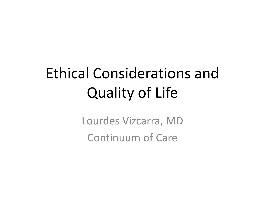## Ethical Considerations and Quality of Life

Lourdes Vizcarra, MD Continuum of Care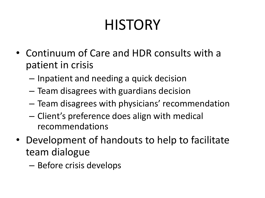# **HISTORY**

- Continuum of Care and HDR consults with a patient in crisis
	- Inpatient and needing a quick decision
	- Team disagrees with guardians decision
	- Team disagrees with physicians' recommendation
	- Client's preference does align with medical recommendations
- Development of handouts to help to facilitate team dialogue
	- Before crisis develops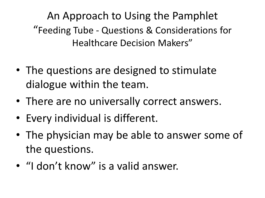An Approach to Using the Pamphlet "Feeding Tube - Questions & Considerations for Healthcare Decision Makers"

- The questions are designed to stimulate dialogue within the team.
- There are no universally correct answers.
- Every individual is different.
- The physician may be able to answer some of the questions.
- "I don't know" is a valid answer.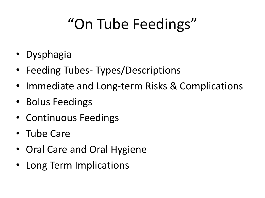# "On Tube Feedings"

- Dysphagia
- Feeding Tubes-Types/Descriptions
- Immediate and Long-term Risks & Complications
- Bolus Feedings
- Continuous Feedings
- Tube Care
- Oral Care and Oral Hygiene
- Long Term Implications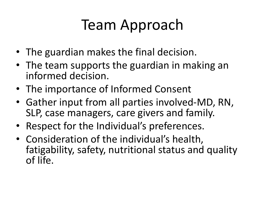### Team Approach

- The guardian makes the final decision.
- The team supports the guardian in making an informed decision.
- The importance of Informed Consent
- Gather input from all parties involved-MD, RN, SLP, case managers, care givers and family.
- Respect for the Individual's preferences.
- Consideration of the individual's health, fatigability, safety, nutritional status and quality of life.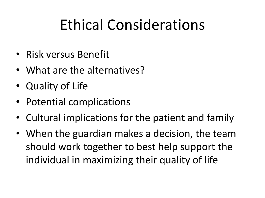### Ethical Considerations

- Risk versus Benefit
- What are the alternatives?
- Quality of Life
- Potential complications
- Cultural implications for the patient and family
- When the guardian makes a decision, the team should work together to best help support the individual in maximizing their quality of life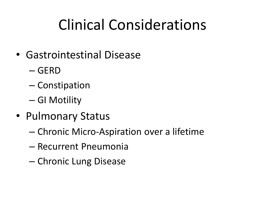## Clinical Considerations

- Gastrointestinal Disease
	- GERD
	- Constipation
	- GI Motility
- Pulmonary Status
	- Chronic Micro-Aspiration over a lifetime
	- Recurrent Pneumonia
	- Chronic Lung Disease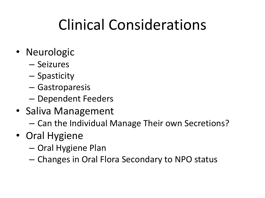## Clinical Considerations

- Neurologic
	- Seizures
	- Spasticity
	- Gastroparesis
	- Dependent Feeders
- Saliva Management
	- Can the Individual Manage Their own Secretions?
- Oral Hygiene
	- Oral Hygiene Plan
	- Changes in Oral Flora Secondary to NPO status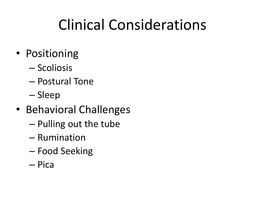## Clinical Considerations

- Positioning
	- Scoliosis
	- Postural Tone
	- Sleep
- Behavioral Challenges
	- Pulling out the tube
	- Rumination
	- Food Seeking
	- Pica